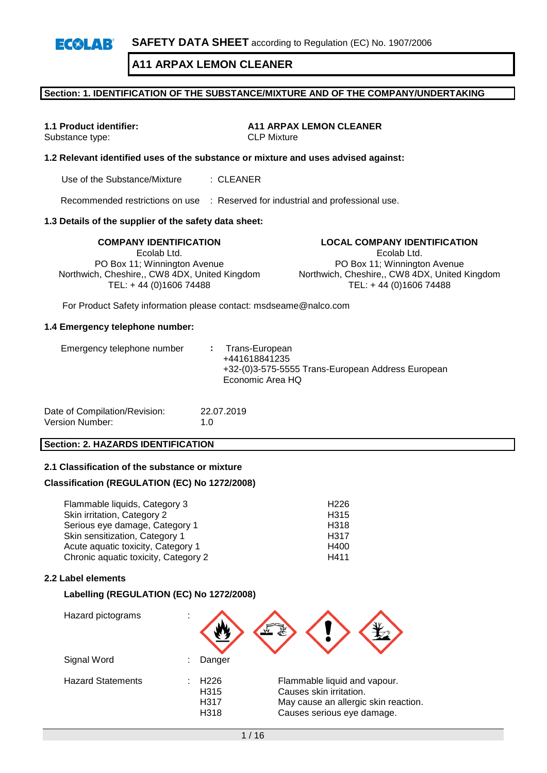#### **Section: 1. IDENTIFICATION OF THE SUBSTANCE/MIXTURE AND OF THE COMPANY/UNDERTAKING**

Substance type:

**1.1 Product identifier: A11 ARPAX LEMON CLEANER**<br>Substance type: **AND CLP** Mixture

#### **1.2 Relevant identified uses of the substance or mixture and uses advised against:**

Use of the Substance/Mixture : CLEANER

Recommended restrictions on use : Reserved for industrial and professional use.

#### **1.3 Details of the supplier of the safety data sheet:**

**COMPANY IDENTIFICATION LOCAL COMPANY IDENTIFICATION** Ecolab Ltd. PO Box 11; Winnington Avenue Northwich, Cheshire,, CW8 4DX, United Kingdom TEL: + 44 (0)1606 74488

Ecolab Ltd.

PO Box 11; Winnington Avenue Northwich, Cheshire,, CW8 4DX, United Kingdom TEL: + 44 (0)1606 74488

For Product Safety information please contact: msdseame@nalco.com

#### **1.4 Emergency telephone number:**

| Emergency telephone number | : Trans-European<br>+441618841235<br>+32-(0)3-575-5555 Trans-European Address European<br>Economic Area HQ |
|----------------------------|------------------------------------------------------------------------------------------------------------|
|                            |                                                                                                            |

| Date of Compilation/Revision: | 22.07.2019  |
|-------------------------------|-------------|
| Version Number:               | 1. $\Omega$ |

#### **Section: 2. HAZARDS IDENTIFICATION**

#### **2.1 Classification of the substance or mixture**

#### **Classification (REGULATION (EC) No 1272/2008)**

Flammable liquids, Category 3 H226 Skin irritation, Category 2 H315 Serious eye damage, Category 1 H318 Skin sensitization, Category 1 decree a control and the H317<br>Acute aquatic toxicity, Category 1 decree http://www.franche.com Acute aquatic toxicity, Category 1 and the control of the H400<br>Chronic aquatic toxicity, Category 2 and H411 Chronic aquatic toxicity, Category 2

#### **2.2 Label elements**

#### **Labelling (REGULATION (EC) No 1272/2008)**

| Hazard pictograms        | ٠                                        |                                                                                                                               |
|--------------------------|------------------------------------------|-------------------------------------------------------------------------------------------------------------------------------|
| Signal Word              | Danger                                   |                                                                                                                               |
| <b>Hazard Statements</b> | H <sub>226</sub><br>H315<br>H317<br>H318 | Flammable liquid and vapour.<br>Causes skin irritation.<br>May cause an allergic skin reaction.<br>Causes serious eye damage. |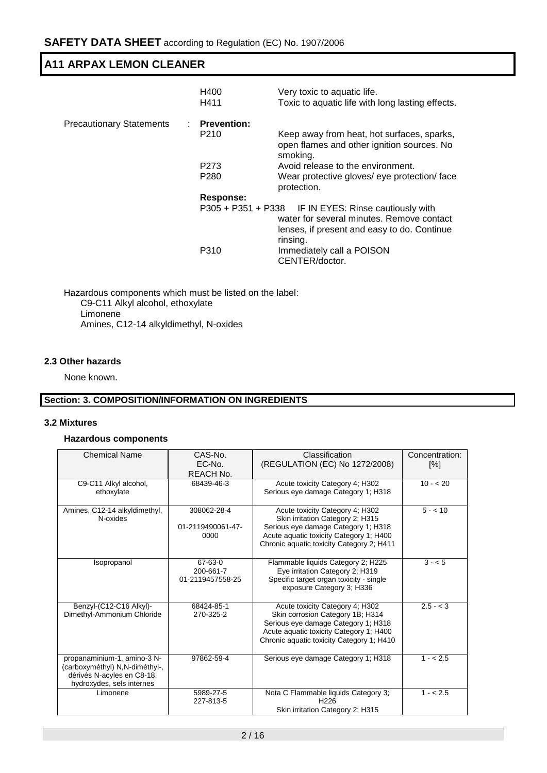|                                 | H400<br>H411                           | Very toxic to aquatic life.<br>Toxic to aquatic life with long lasting effects.                                                                              |
|---------------------------------|----------------------------------------|--------------------------------------------------------------------------------------------------------------------------------------------------------------|
| <b>Precautionary Statements</b> | <b>Prevention:</b><br>P <sub>210</sub> | Keep away from heat, hot surfaces, sparks,<br>open flames and other ignition sources. No<br>smoking.                                                         |
|                                 | P <sub>273</sub><br>P <sub>280</sub>   | Avoid release to the environment.<br>Wear protective gloves/ eye protection/ face<br>protection.                                                             |
|                                 | Response:                              |                                                                                                                                                              |
|                                 |                                        | P305 + P351 + P338 IF IN EYES: Rinse cautiously with<br>water for several minutes. Remove contact<br>lenses, if present and easy to do. Continue<br>rinsing. |
|                                 | P310                                   | Immediately call a POISON<br>CENTER/doctor.                                                                                                                  |

Hazardous components which must be listed on the label: C9-C11 Alkyl alcohol, ethoxylate Limonene Amines, C12-14 alkyldimethyl, N-oxides

# **2.3 Other hazards**

None known.

# **Section: 3. COMPOSITION/INFORMATION ON INGREDIENTS**

### **3.2 Mixtures**

### **Hazardous components**

| <b>Chemical Name</b>           | CAS-No.           | Classification                            | Concentration:     |
|--------------------------------|-------------------|-------------------------------------------|--------------------|
|                                | EC-No.            | (REGULATION (EC) No 1272/2008)            | $\lceil \% \rceil$ |
|                                | <b>REACH No.</b>  |                                           |                    |
| C9-C11 Alkyl alcohol,          | 68439-46-3        | Acute toxicity Category 4; H302           | $10 - 20$          |
| ethoxylate                     |                   | Serious eye damage Category 1; H318       |                    |
|                                |                   |                                           |                    |
| Amines, C12-14 alkyldimethyl,  | 308062-28-4       | Acute toxicity Category 4; H302           | $5 - 10$           |
| N-oxides                       |                   | Skin irritation Category 2; H315          |                    |
|                                | 01-2119490061-47- | Serious eye damage Category 1; H318       |                    |
|                                | 0000              | Acute aquatic toxicity Category 1; H400   |                    |
|                                |                   | Chronic aquatic toxicity Category 2; H411 |                    |
|                                |                   |                                           |                    |
| Isopropanol                    | 67-63-0           | Flammable liquids Category 2; H225        | $3 - 5$            |
|                                | 200-661-7         | Eye irritation Category 2; H319           |                    |
|                                | 01-2119457558-25  | Specific target organ toxicity - single   |                    |
|                                |                   | exposure Category 3; H336                 |                    |
|                                |                   |                                           |                    |
| Benzyl-(C12-C16 Alkyl)-        | 68424-85-1        | Acute toxicity Category 4; H302           | $2.5 - 3$          |
| Dimethyl-Ammonium Chloride     | 270-325-2         | Skin corrosion Category 1B; H314          |                    |
|                                |                   | Serious eye damage Category 1; H318       |                    |
|                                |                   | Acute aquatic toxicity Category 1; H400   |                    |
|                                |                   | Chronic aquatic toxicity Category 1: H410 |                    |
|                                |                   |                                           |                    |
| propanaminium-1, amino-3 N-    | 97862-59-4        | Serious eye damage Category 1; H318       | $1 - 2.5$          |
| (carboxyméthyl) N,N-diméthyl-, |                   |                                           |                    |
| dérivés N-acyles en C8-18,     |                   |                                           |                    |
| hydroxydes, sels internes      |                   |                                           |                    |
| Limonene                       | 5989-27-5         | Nota C Flammable liquids Category 3;      | $1 - 2.5$          |
|                                | 227-813-5         | H <sub>226</sub>                          |                    |
|                                |                   | Skin irritation Category 2; H315          |                    |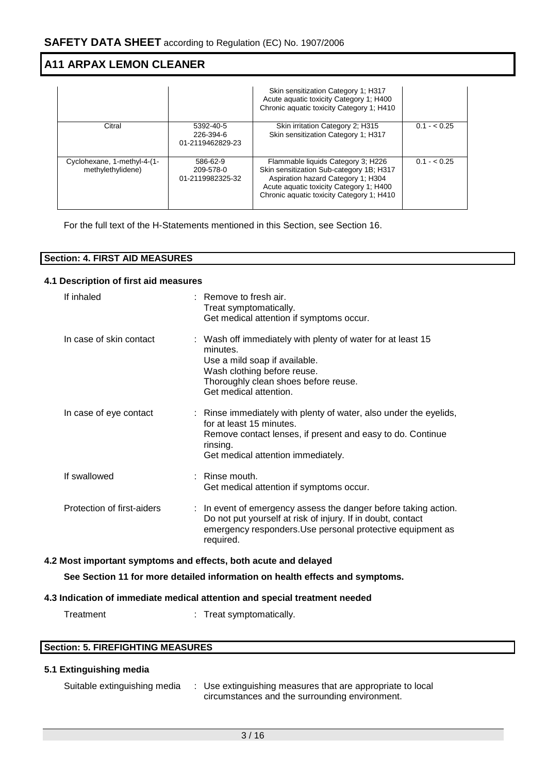|                                                  |                                            | Skin sensitization Category 1: H317<br>Acute aquatic toxicity Category 1; H400<br>Chronic aquatic toxicity Category 1; H410                                                                                  |                |
|--------------------------------------------------|--------------------------------------------|--------------------------------------------------------------------------------------------------------------------------------------------------------------------------------------------------------------|----------------|
| Citral                                           | 5392-40-5<br>226-394-6<br>01-2119462829-23 | Skin irritation Category 2; H315<br>Skin sensitization Category 1; H317                                                                                                                                      | $0.1 - < 0.25$ |
| Cyclohexane, 1-methyl-4-(1-<br>methylethylidene) | 586-62-9<br>209-578-0<br>01-2119982325-32  | Flammable liquids Category 3; H226<br>Skin sensitization Sub-category 1B; H317<br>Aspiration hazard Category 1; H304<br>Acute aquatic toxicity Category 1; H400<br>Chronic aquatic toxicity Category 1; H410 | $0.1 - 0.25$   |

For the full text of the H-Statements mentioned in this Section, see Section 16.

| <b>Section: 4. FIRST AID MEASURES</b> |  |
|---------------------------------------|--|

#### **4.1 Description of first aid measures**

|                                                                 | If inhaled                 |  | : Remove to fresh air.<br>Treat symptomatically.<br>Get medical attention if symptoms occur.                                                                                                                  |
|-----------------------------------------------------------------|----------------------------|--|---------------------------------------------------------------------------------------------------------------------------------------------------------------------------------------------------------------|
|                                                                 | In case of skin contact    |  | : Wash off immediately with plenty of water for at least 15<br>minutes.<br>Use a mild soap if available.<br>Wash clothing before reuse.<br>Thoroughly clean shoes before reuse.<br>Get medical attention.     |
|                                                                 | In case of eye contact     |  | : Rinse immediately with plenty of water, also under the eyelids,<br>for at least 15 minutes.<br>Remove contact lenses, if present and easy to do. Continue<br>rinsing.<br>Get medical attention immediately. |
|                                                                 | If swallowed               |  | $:$ Rinse mouth.<br>Get medical attention if symptoms occur.                                                                                                                                                  |
|                                                                 | Protection of first-aiders |  | : In event of emergency assess the danger before taking action.<br>Do not put yourself at risk of injury. If in doubt, contact<br>emergency responders. Use personal protective equipment as<br>required.     |
| 4.2 Most important symptoms and effects, both acute and delayed |                            |  |                                                                                                                                                                                                               |
|                                                                 |                            |  | See Section 11 for more detailed information on health effects and symptoms.                                                                                                                                  |

# **4.3 Indication of immediate medical attention and special treatment needed**

Treatment : Treat symptomatically.

| <b>Section: 5. FIREFIGHTING MEASURES</b> |  |
|------------------------------------------|--|
|------------------------------------------|--|

# **5.1 Extinguishing media**

| Suitable extinguishing media | : Use extinguishing measures that are appropriate to local |
|------------------------------|------------------------------------------------------------|
|                              | circumstances and the surrounding environment.             |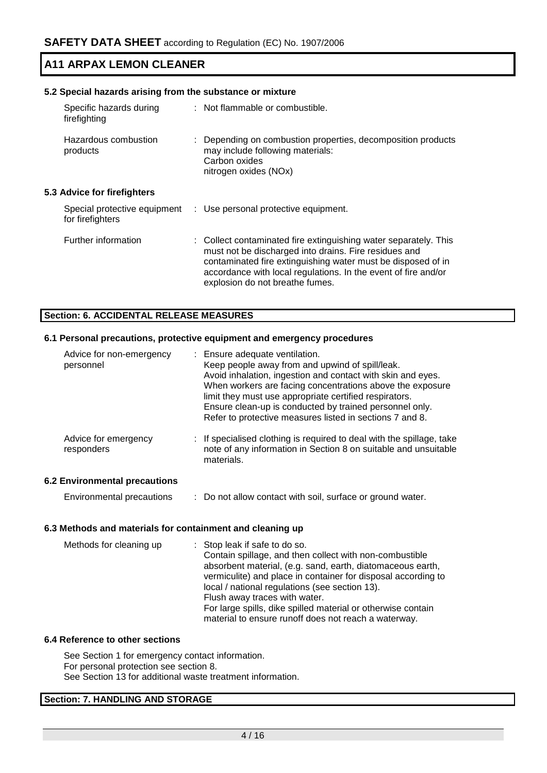| 5.2 Special hazards arising from the substance or mixture |  |                                                                                                                                                                                                                                                                                                |  |  |
|-----------------------------------------------------------|--|------------------------------------------------------------------------------------------------------------------------------------------------------------------------------------------------------------------------------------------------------------------------------------------------|--|--|
| Specific hazards during<br>firefighting                   |  | : Not flammable or combustible.                                                                                                                                                                                                                                                                |  |  |
| Hazardous combustion<br>products                          |  | Depending on combustion properties, decomposition products<br>may include following materials:<br>Carbon oxides<br>nitrogen oxides (NOx)                                                                                                                                                       |  |  |
| 5.3 Advice for firefighters                               |  |                                                                                                                                                                                                                                                                                                |  |  |
| Special protective equipment<br>for firefighters          |  | : Use personal protective equipment.                                                                                                                                                                                                                                                           |  |  |
| Further information                                       |  | : Collect contaminated fire extinguishing water separately. This<br>must not be discharged into drains. Fire residues and<br>contaminated fire extinguishing water must be disposed of in<br>accordance with local regulations. In the event of fire and/or<br>explosion do not breathe fumes. |  |  |

### **Section: 6. ACCIDENTAL RELEASE MEASURES**

### **6.1 Personal precautions, protective equipment and emergency procedures**

| Advice for non-emergency<br>personnel | : Ensure adequate ventilation.<br>Keep people away from and upwind of spill/leak.<br>Avoid inhalation, ingestion and contact with skin and eyes.<br>When workers are facing concentrations above the exposure<br>limit they must use appropriate certified respirators.<br>Ensure clean-up is conducted by trained personnel only.<br>Refer to protective measures listed in sections 7 and 8. |
|---------------------------------------|------------------------------------------------------------------------------------------------------------------------------------------------------------------------------------------------------------------------------------------------------------------------------------------------------------------------------------------------------------------------------------------------|
| Advice for emergency<br>responders    | : If specialised clothing is required to deal with the spillage, take<br>note of any information in Section 8 on suitable and unsuitable<br>materials.                                                                                                                                                                                                                                         |
| <b>6.2 Environmental precautions</b>  |                                                                                                                                                                                                                                                                                                                                                                                                |

Environmental precautions : Do not allow contact with soil, surface or ground water.

### **6.3 Methods and materials for containment and cleaning up**

| Methods for cleaning up | : Stop leak if safe to do so.                                 |
|-------------------------|---------------------------------------------------------------|
|                         | Contain spillage, and then collect with non-combustible       |
|                         | absorbent material, (e.g. sand, earth, diatomaceous earth,    |
|                         | vermiculite) and place in container for disposal according to |
|                         | local / national regulations (see section 13).                |
|                         | Flush away traces with water.                                 |
|                         | For large spills, dike spilled material or otherwise contain  |
|                         | material to ensure runoff does not reach a waterway.          |

### **6.4 Reference to other sections**

See Section 1 for emergency contact information. For personal protection see section 8. See Section 13 for additional waste treatment information.

# **Section: 7. HANDLING AND STORAGE**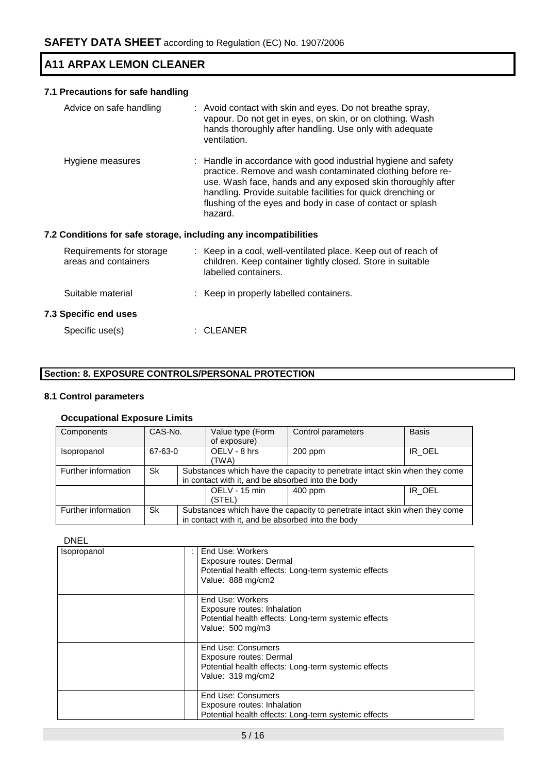# **7.1 Precautions for safe handling**

| Advice on safe handling                                          | : Avoid contact with skin and eyes. Do not breathe spray,<br>vapour. Do not get in eyes, on skin, or on clothing. Wash<br>hands thoroughly after handling. Use only with adequate<br>ventilation.                                                                                                                                    |
|------------------------------------------------------------------|--------------------------------------------------------------------------------------------------------------------------------------------------------------------------------------------------------------------------------------------------------------------------------------------------------------------------------------|
| Hygiene measures                                                 | : Handle in accordance with good industrial hygiene and safety<br>practice. Remove and wash contaminated clothing before re-<br>use. Wash face, hands and any exposed skin thoroughly after<br>handling. Provide suitable facilities for quick drenching or<br>flushing of the eyes and body in case of contact or splash<br>hazard. |
| 7.2 Conditions for safe storage, including any incompatibilities |                                                                                                                                                                                                                                                                                                                                      |
| Requirements for storage<br>areas and containers                 | : Keep in a cool, well-ventilated place. Keep out of reach of<br>children. Keep container tightly closed. Store in suitable<br>labelled containers.                                                                                                                                                                                  |
| Suitable material                                                | : Keep in properly labelled containers.                                                                                                                                                                                                                                                                                              |
| <b>7.3 Specific end uses</b>                                     |                                                                                                                                                                                                                                                                                                                                      |
| Specific use(s)                                                  | : CLEANER                                                                                                                                                                                                                                                                                                                            |

# **Section: 8. EXPOSURE CONTROLS/PERSONAL PROTECTION**

### **8.1 Control parameters**

# **Occupational Exposure Limits**

| Components          | CAS-No. |                                                   | Value type (Form                                                           | Control parameters |        |  |  |
|---------------------|---------|---------------------------------------------------|----------------------------------------------------------------------------|--------------------|--------|--|--|
|                     |         |                                                   | of exposure)                                                               |                    |        |  |  |
| Isopropanol         | 67-63-0 |                                                   | OELV - 8 hrs                                                               | $200$ ppm          | IR OEL |  |  |
|                     |         |                                                   | (TWA)                                                                      |                    |        |  |  |
| Further information | Sk      |                                                   | Substances which have the capacity to penetrate intact skin when they come |                    |        |  |  |
|                     |         | in contact with it, and be absorbed into the body |                                                                            |                    |        |  |  |
|                     |         |                                                   | OELV - 15 min                                                              | $400$ ppm          | IR OEL |  |  |
|                     |         |                                                   | (STEL)                                                                     |                    |        |  |  |
| Further information | Sk      |                                                   | Substances which have the capacity to penetrate intact skin when they come |                    |        |  |  |
|                     |         | in contact with it, and be absorbed into the body |                                                                            |                    |        |  |  |

#### DNEL

| Isopropanol | End Use: Workers<br>Exposure routes: Dermal<br>Potential health effects: Long-term systemic effects<br>Value: 888 mg/cm2          |
|-------------|-----------------------------------------------------------------------------------------------------------------------------------|
|             | End Use: Workers<br>Exposure routes: Inhalation<br>Potential health effects: Long-term systemic effects<br>Value: 500 mg/m3       |
|             | <b>End Use: Consumers</b><br>Exposure routes: Dermal<br>Potential health effects: Long-term systemic effects<br>Value: 319 mg/cm2 |
|             | <b>End Use: Consumers</b><br>Exposure routes: Inhalation<br>Potential health effects: Long-term systemic effects                  |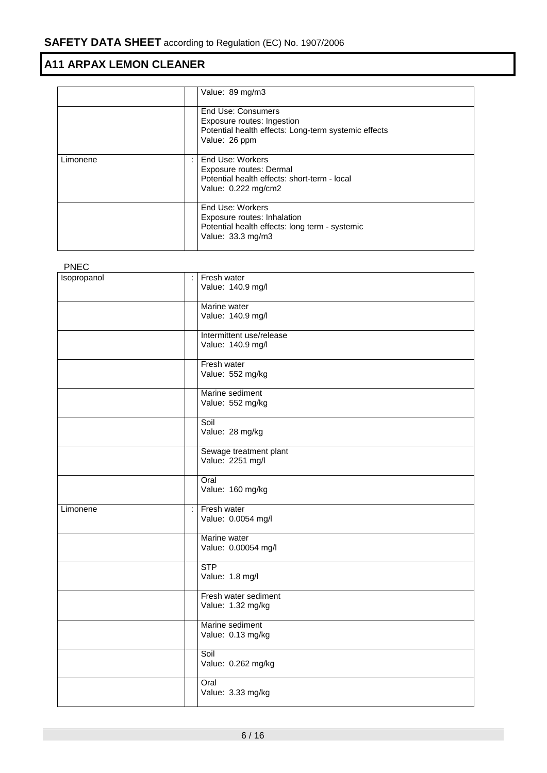|          |   | Value: 89 mg/m3                                                                                                           |
|----------|---|---------------------------------------------------------------------------------------------------------------------------|
|          |   | End Use: Consumers<br>Exposure routes: Ingestion<br>Potential health effects: Long-term systemic effects<br>Value: 26 ppm |
| Limonene | ÷ | End Use: Workers<br>Exposure routes: Dermal<br>Potential health effects: short-term - local<br>Value: 0.222 mg/cm2        |
|          |   | End Use: Workers<br>Exposure routes: Inhalation<br>Potential health effects: long term - systemic<br>Value: 33.3 mg/m3    |

| <b>PNEC</b> |   |                                               |
|-------------|---|-----------------------------------------------|
| Isopropanol | ÷ | Fresh water<br>Value: 140.9 mg/l              |
|             |   | Marine water<br>Value: 140.9 mg/l             |
|             |   | Intermittent use/release<br>Value: 140.9 mg/l |
|             |   | Fresh water<br>Value: 552 mg/kg               |
|             |   | Marine sediment<br>Value: 552 mg/kg           |
|             |   | Soil<br>Value: 28 mg/kg                       |
|             |   | Sewage treatment plant<br>Value: 2251 mg/l    |
|             |   | Oral<br>Value: 160 mg/kg                      |
| Limonene    | ÷ | Fresh water<br>Value: 0.0054 mg/l             |
|             |   | Marine water<br>Value: 0.00054 mg/l           |
|             |   | <b>STP</b><br>Value: 1.8 mg/l                 |
|             |   | Fresh water sediment<br>Value: 1.32 mg/kg     |
|             |   | Marine sediment<br>Value: 0.13 mg/kg          |
|             |   | Soil<br>Value: 0.262 mg/kg                    |
|             |   | Oral<br>Value: 3.33 mg/kg                     |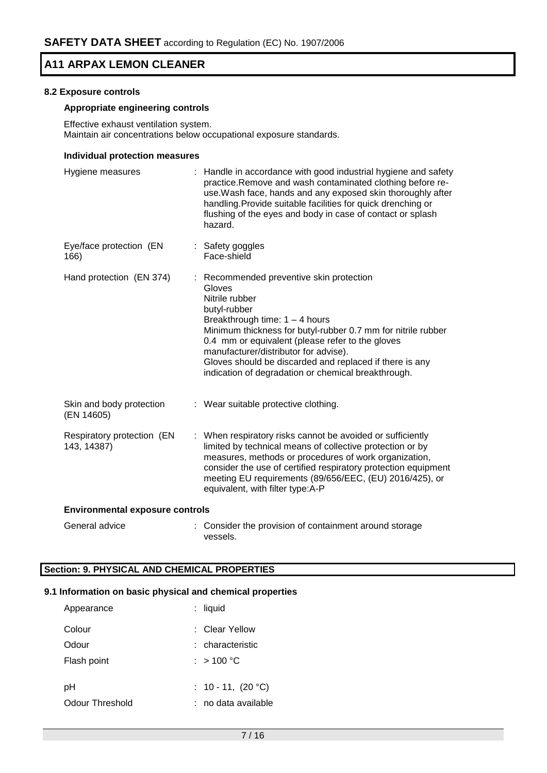#### **8.2 Exposure controls**

# **Appropriate engineering controls**

Effective exhaust ventilation system. Maintain air concentrations below occupational exposure standards.

#### **Individual protection measures**

| Hygiene measures                          | Handle in accordance with good industrial hygiene and safety<br>practice. Remove and wash contaminated clothing before re-<br>use. Wash face, hands and any exposed skin thoroughly after<br>handling. Provide suitable facilities for quick drenching or<br>flushing of the eyes and body in case of contact or splash<br>hazard.                                                                      |
|-------------------------------------------|---------------------------------------------------------------------------------------------------------------------------------------------------------------------------------------------------------------------------------------------------------------------------------------------------------------------------------------------------------------------------------------------------------|
| Eye/face protection (EN<br>166)           | : Safety goggles<br>Face-shield                                                                                                                                                                                                                                                                                                                                                                         |
| Hand protection (EN 374)                  | : Recommended preventive skin protection<br>Gloves<br>Nitrile rubber<br>butyl-rubber<br>Breakthrough time: $1 - 4$ hours<br>Minimum thickness for butyl-rubber 0.7 mm for nitrile rubber<br>0.4 mm or equivalent (please refer to the gloves<br>manufacturer/distributor for advise).<br>Gloves should be discarded and replaced if there is any<br>indication of degradation or chemical breakthrough. |
| Skin and body protection<br>(EN 14605)    | : Wear suitable protective clothing.                                                                                                                                                                                                                                                                                                                                                                    |
| Respiratory protection (EN<br>143, 14387) | : When respiratory risks cannot be avoided or sufficiently<br>limited by technical means of collective protection or by<br>measures, methods or procedures of work organization,<br>consider the use of certified respiratory protection equipment<br>meeting EU requirements (89/656/EEC, (EU) 2016/425), or<br>equivalent, with filter type:A-P                                                       |
| <b>Environmental exposure controls</b>    |                                                                                                                                                                                                                                                                                                                                                                                                         |

General advice : Consider the provision of containment around storage vessels.

# **Section: 9. PHYSICAL AND CHEMICAL PROPERTIES**

#### **9.1 Information on basic physical and chemical properties**

| Appearance      | : liquid                     |
|-----------------|------------------------------|
| Colour          | ∶ Clear Yellow               |
| Odour           | : characteristic             |
| Flash point     | : $>100\,^{\circ}\mathrm{C}$ |
|                 |                              |
| рH              | : 10 - 11, $(20 °C)$         |
| Odour Threshold | no data available            |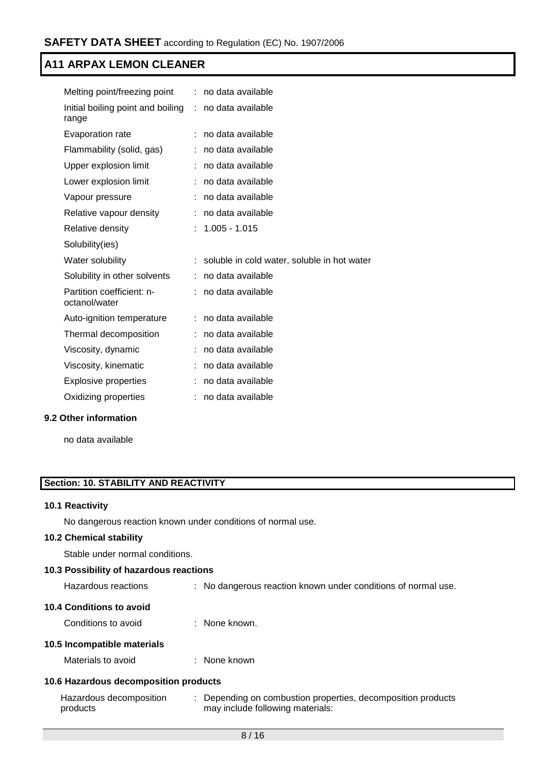| Melting point/freezing point               |    | : no data available                         |
|--------------------------------------------|----|---------------------------------------------|
| Initial boiling point and boiling<br>range | ÷. | no data available                           |
| <b>Evaporation rate</b>                    |    | no data available                           |
| Flammability (solid, gas)                  |    | no data available                           |
| Upper explosion limit                      |    | no data available                           |
| Lower explosion limit                      |    | no data available                           |
| Vapour pressure                            |    | no data available                           |
| Relative vapour density                    | ÷  | no data available                           |
| Relative density                           |    | $1.005 - 1.015$                             |
| Solubility(ies)                            |    |                                             |
|                                            |    |                                             |
| Water solubility                           |    | soluble in cold water, soluble in hot water |
| Solubility in other solvents               |    | no data available                           |
| Partition coefficient: n-<br>octanol/water |    | : no data available                         |
| Auto-ignition temperature                  | ÷. | no data available                           |
| Thermal decomposition                      |    | no data available                           |
| Viscosity, dynamic                         |    | no data available                           |
| Viscosity, kinematic                       |    | no data available                           |
| <b>Explosive properties</b>                |    | no data available                           |
| Oxidizing properties                       |    | no data available                           |

# **9.2 Other information**

no data available

# **Section: 10. STABILITY AND REACTIVITY**

#### **10.1 Reactivity**

No dangerous reaction known under conditions of normal use.

# **10.2 Chemical stability**

Stable under normal conditions.

### **10.3 Possibility of hazardous reactions**

Hazardous reactions : No dangerous reaction known under conditions of normal use.

### **10.4 Conditions to avoid**

Conditions to avoid : None known.

### **10.5 Incompatible materials**

Materials to avoid : None known

# **10.6 Hazardous decomposition products**

| Hazardous decomposition | Depending on combustion properties, decomposition products |
|-------------------------|------------------------------------------------------------|
| products                | may include following materials:                           |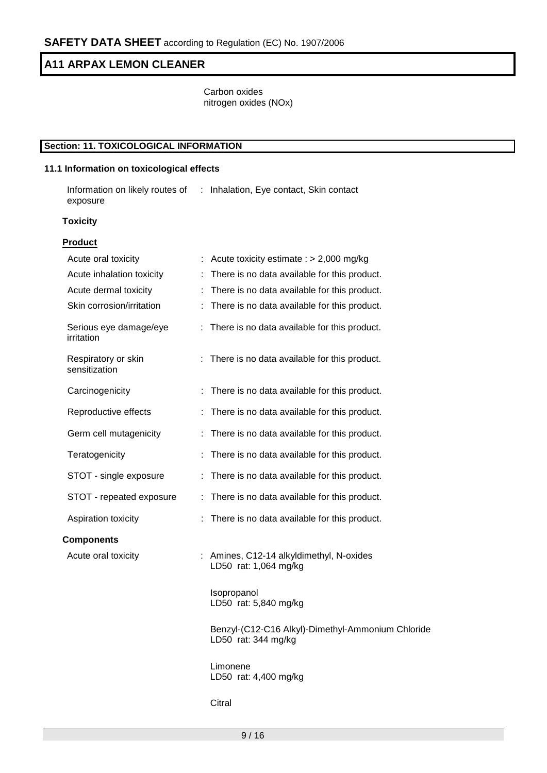Carbon oxides nitrogen oxides (NOx)

# **Section: 11. TOXICOLOGICAL INFORMATION**

# **11.1 Information on toxicological effects**

Information on likely routes of : Inhalation, Eye contact, Skin contact exposure

#### **Toxicity**

| <b>Product</b>                       |                                                                          |
|--------------------------------------|--------------------------------------------------------------------------|
| Acute oral toxicity                  | Acute toxicity estimate : $> 2,000$ mg/kg                                |
| Acute inhalation toxicity            | There is no data available for this product.                             |
| Acute dermal toxicity                | There is no data available for this product.<br>÷                        |
| Skin corrosion/irritation            | There is no data available for this product.<br>÷                        |
| Serious eye damage/eye<br>irritation | : There is no data available for this product.                           |
| Respiratory or skin<br>sensitization | : There is no data available for this product.                           |
| Carcinogenicity                      | : There is no data available for this product.                           |
| Reproductive effects                 | There is no data available for this product.<br>÷                        |
| Germ cell mutagenicity               | : There is no data available for this product.                           |
| Teratogenicity                       | There is no data available for this product.                             |
| STOT - single exposure               | ÷.<br>There is no data available for this product.                       |
| STOT - repeated exposure             | : There is no data available for this product.                           |
| Aspiration toxicity                  | There is no data available for this product.                             |
| <b>Components</b>                    |                                                                          |
| Acute oral toxicity                  | : Amines, C12-14 alkyldimethyl, N-oxides<br>LD50 rat: 1,064 mg/kg        |
|                                      | Isopropanol<br>LD50 rat: 5,840 mg/kg                                     |
|                                      | Benzyl-(C12-C16 Alkyl)-Dimethyl-Ammonium Chloride<br>LD50 rat: 344 mg/kg |
|                                      | Limonene<br>LD50 rat: 4,400 mg/kg                                        |
|                                      | Citral                                                                   |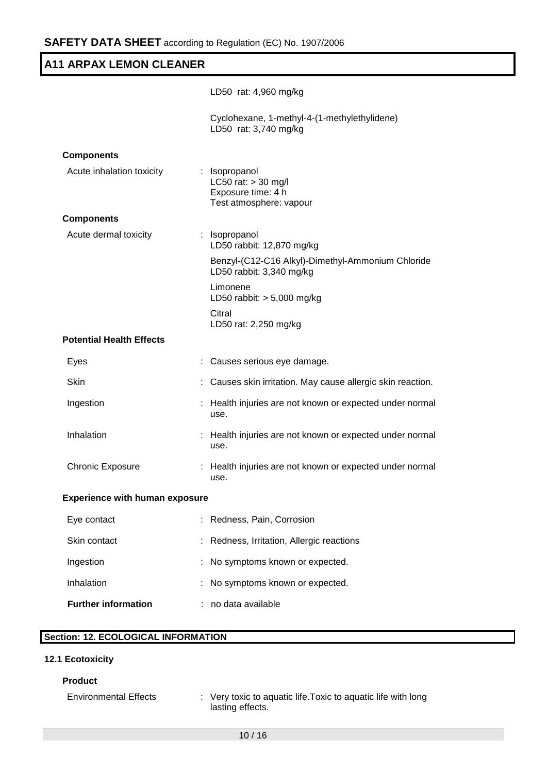|                                       | LD50 rat: 4,960 mg/kg                                                                   |
|---------------------------------------|-----------------------------------------------------------------------------------------|
|                                       | Cyclohexane, 1-methyl-4-(1-methylethylidene)<br>LD50 rat: 3,740 mg/kg                   |
| <b>Components</b>                     |                                                                                         |
| Acute inhalation toxicity             | : Isopropanol<br>LC50 rat: $>$ 30 mg/l<br>Exposure time: 4 h<br>Test atmosphere: vapour |
| <b>Components</b>                     |                                                                                         |
| Acute dermal toxicity                 | : Isopropanol<br>LD50 rabbit: 12,870 mg/kg                                              |
|                                       | Benzyl-(C12-C16 Alkyl)-Dimethyl-Ammonium Chloride<br>LD50 rabbit: 3,340 mg/kg           |
|                                       | Limonene<br>LD50 rabbit: $> 5,000$ mg/kg                                                |
|                                       | Citral<br>LD50 rat: 2,250 mg/kg                                                         |
| <b>Potential Health Effects</b>       |                                                                                         |
| Eyes                                  | Causes serious eye damage.                                                              |
| Skin                                  | Causes skin irritation. May cause allergic skin reaction.                               |
| Ingestion                             | Health injuries are not known or expected under normal<br>use.                          |
| Inhalation                            | : Health injuries are not known or expected under normal<br>use.                        |
| <b>Chronic Exposure</b>               | : Health injuries are not known or expected under normal<br>use.                        |
| <b>Experience with human exposure</b> |                                                                                         |
| Eye contact                           | Redness, Pain, Corrosion                                                                |
| Skin contact                          | Redness, Irritation, Allergic reactions                                                 |
| Ingestion                             | No symptoms known or expected.                                                          |
| Inhalation                            | No symptoms known or expected.                                                          |

# **Section: 12. ECOLOGICAL INFORMATION**

**Further information** : no data available

# **12.1 Ecotoxicity**

# **Product**

Environmental Effects : Very toxic to aquatic life. Toxic to aquatic life with long lasting effects.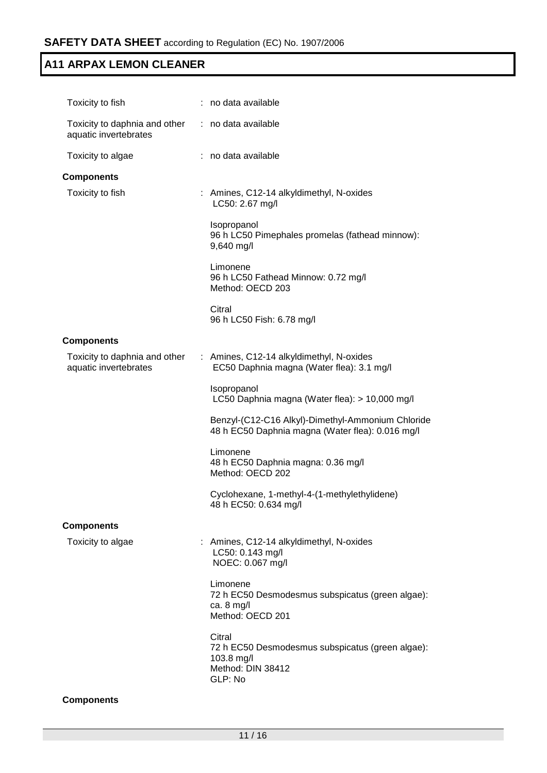| Toxicity to fish                                       | no data available                                                                                        |
|--------------------------------------------------------|----------------------------------------------------------------------------------------------------------|
| Toxicity to daphnia and other<br>aquatic invertebrates | : no data available                                                                                      |
| Toxicity to algae                                      | : no data available                                                                                      |
| <b>Components</b>                                      |                                                                                                          |
| Toxicity to fish                                       | : Amines, C12-14 alkyldimethyl, N-oxides<br>LC50: 2.67 mg/l                                              |
|                                                        | Isopropanol<br>96 h LC50 Pimephales promelas (fathead minnow):<br>9,640 mg/l                             |
|                                                        | Limonene<br>96 h LC50 Fathead Minnow: 0.72 mg/l<br>Method: OECD 203                                      |
|                                                        | Citral<br>96 h LC50 Fish: 6.78 mg/l                                                                      |
| <b>Components</b>                                      |                                                                                                          |
| Toxicity to daphnia and other<br>aquatic invertebrates | : Amines, C12-14 alkyldimethyl, N-oxides<br>EC50 Daphnia magna (Water flea): 3.1 mg/l                    |
|                                                        | Isopropanol<br>LC50 Daphnia magna (Water flea): > 10,000 mg/l                                            |
|                                                        | Benzyl-(C12-C16 Alkyl)-Dimethyl-Ammonium Chloride<br>48 h EC50 Daphnia magna (Water flea): 0.016 mg/l    |
|                                                        | Limonene<br>48 h EC50 Daphnia magna: 0.36 mg/l<br>Method: OECD 202                                       |
|                                                        | Cyclohexane, 1-methyl-4-(1-methylethylidene)<br>48 h EC50: 0.634 mg/l                                    |
| <b>Components</b>                                      |                                                                                                          |
| Toxicity to algae                                      | Amines, C12-14 alkyldimethyl, N-oxides<br>LC50: 0.143 mg/l<br>NOEC: 0.067 mg/l                           |
|                                                        | Limonene<br>72 h EC50 Desmodesmus subspicatus (green algae):<br>ca. $8 \text{ mg/l}$<br>Method: OECD 201 |
|                                                        | Citral<br>72 h EC50 Desmodesmus subspicatus (green algae):<br>103.8 mg/l<br>Method: DIN 38412<br>GLP: No |
| <b>Components</b>                                      |                                                                                                          |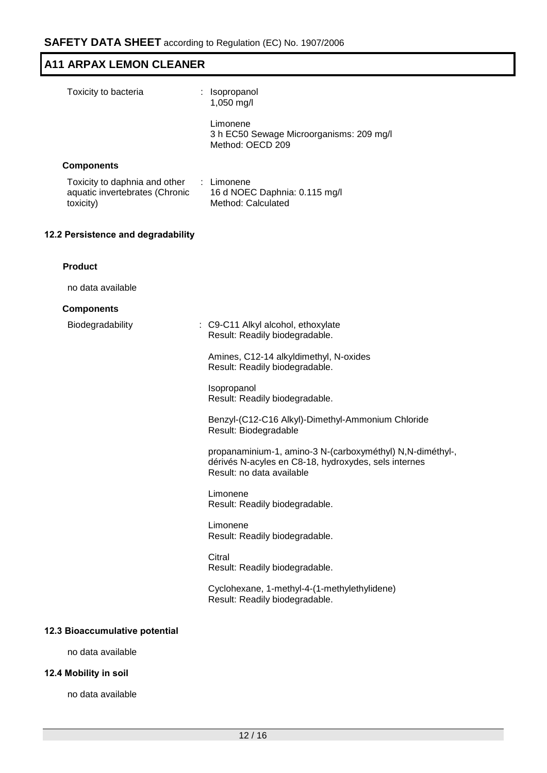| Toxicity to bacteria                                                         | : Isopropanol<br>1,050 mg/l                                                                                                                    |
|------------------------------------------------------------------------------|------------------------------------------------------------------------------------------------------------------------------------------------|
|                                                                              | Limonene<br>3 h EC50 Sewage Microorganisms: 209 mg/l<br>Method: OECD 209                                                                       |
| <b>Components</b>                                                            |                                                                                                                                                |
| Toxicity to daphnia and other<br>aquatic invertebrates (Chronic<br>toxicity) | : Limonene<br>16 d NOEC Daphnia: 0.115 mg/l<br>Method: Calculated                                                                              |
| 12.2 Persistence and degradability                                           |                                                                                                                                                |
| <b>Product</b>                                                               |                                                                                                                                                |
| no data available                                                            |                                                                                                                                                |
| <b>Components</b>                                                            |                                                                                                                                                |
| Biodegradability                                                             | : C9-C11 Alkyl alcohol, ethoxylate<br>Result: Readily biodegradable.                                                                           |
|                                                                              | Amines, C12-14 alkyldimethyl, N-oxides<br>Result: Readily biodegradable.                                                                       |
|                                                                              | Isopropanol<br>Result: Readily biodegradable.                                                                                                  |
|                                                                              | Benzyl-(C12-C16 Alkyl)-Dimethyl-Ammonium Chloride<br>Result: Biodegradable                                                                     |
|                                                                              | propanaminium-1, amino-3 N-(carboxyméthyl) N,N-diméthyl-,<br>dérivés N-acyles en C8-18, hydroxydes, sels internes<br>Result: no data available |
|                                                                              | Limonene<br>Result: Readily biodegradable.                                                                                                     |
|                                                                              | Limonene<br>Result: Readily biodegradable.                                                                                                     |
|                                                                              | Citral<br>Result: Readily biodegradable.                                                                                                       |
|                                                                              | Cyclohexane, 1-methyl-4-(1-methylethylidene)<br>Result: Readily biodegradable.                                                                 |
| 12.3 Bioaccumulative potential                                               |                                                                                                                                                |
| no data available                                                            |                                                                                                                                                |
|                                                                              |                                                                                                                                                |

# **12.4 Mobility in soil**

no data available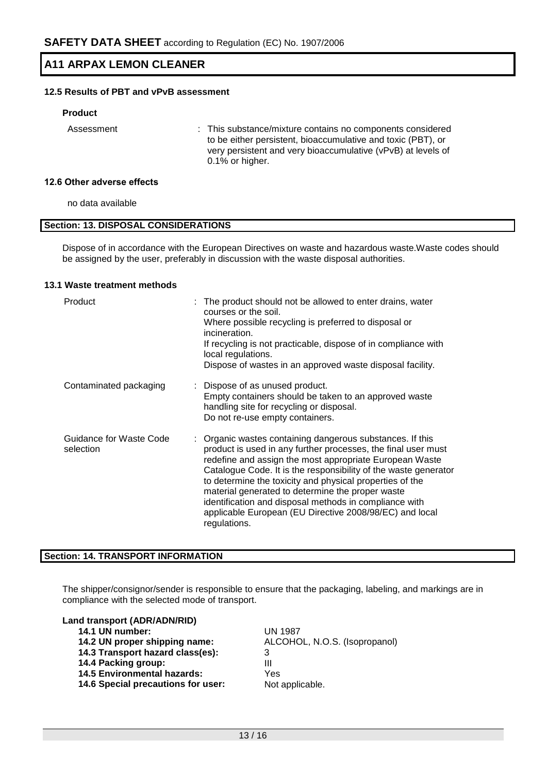# **12.5 Results of PBT and vPvB assessment**

#### **Product**

Assessment : This substance/mixture contains no components considered to be either persistent, bioaccumulative and toxic (PBT), or very persistent and very bioaccumulative (vPvB) at levels of 0.1% or higher.

#### **12.6 Other adverse effects**

no data available

### **Section: 13. DISPOSAL CONSIDERATIONS**

Dispose of in accordance with the European Directives on waste and hazardous waste.Waste codes should be assigned by the user, preferably in discussion with the waste disposal authorities.

#### **13.1 Waste treatment methods**

| Product                              | : The product should not be allowed to enter drains, water<br>courses or the soil.<br>Where possible recycling is preferred to disposal or<br>incineration.<br>If recycling is not practicable, dispose of in compliance with<br>local regulations.<br>Dispose of wastes in an approved waste disposal facility.                                                                                                                                                                                              |
|--------------------------------------|---------------------------------------------------------------------------------------------------------------------------------------------------------------------------------------------------------------------------------------------------------------------------------------------------------------------------------------------------------------------------------------------------------------------------------------------------------------------------------------------------------------|
| Contaminated packaging               | : Dispose of as unused product.<br>Empty containers should be taken to an approved waste<br>handling site for recycling or disposal.<br>Do not re-use empty containers.                                                                                                                                                                                                                                                                                                                                       |
| Guidance for Waste Code<br>selection | : Organic wastes containing dangerous substances. If this<br>product is used in any further processes, the final user must<br>redefine and assign the most appropriate European Waste<br>Catalogue Code. It is the responsibility of the waste generator<br>to determine the toxicity and physical properties of the<br>material generated to determine the proper waste<br>identification and disposal methods in compliance with<br>applicable European (EU Directive 2008/98/EC) and local<br>regulations. |

### **Section: 14. TRANSPORT INFORMATION**

The shipper/consignor/sender is responsible to ensure that the packaging, labeling, and markings are in compliance with the selected mode of transport.

#### **Land transport (ADR/ADN/RID)**

- **14.1 UN number:** UN 1987
- 
- **14.3 Transport hazard class(es):** 3
- **14.4 Packing group:** III
- **14.5 Environmental hazards:** Yes
- 14.6 Special precautions for user: Not applicable.

**14.2 UN proper shipping name:** ALCOHOL, N.O.S. (Isopropanol)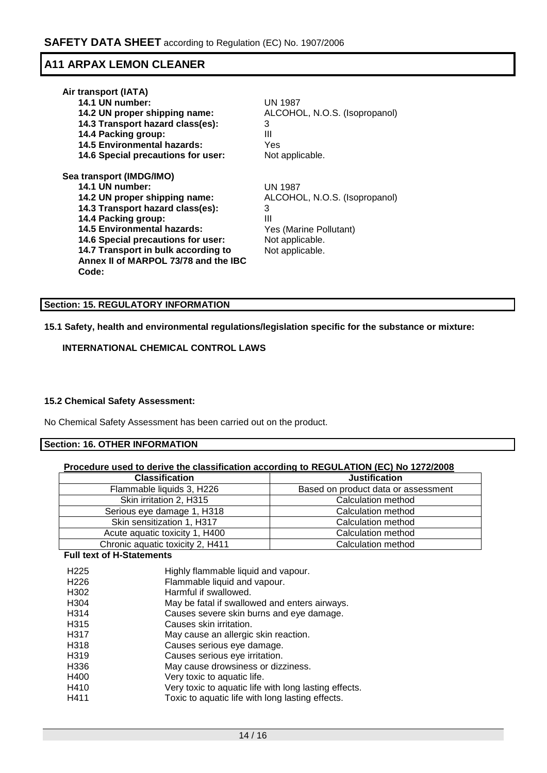| UN 1987                       |
|-------------------------------|
| ALCOHOL, N.O.S. (Isopropanol) |
| 3                             |
| Ш                             |
| Yes                           |
| Not applicable.               |
|                               |
| <b>UN 1987</b>                |
| ALCOHOL, N.O.S. (Isopropanol) |
| 3                             |
| Ш                             |
| Yes (Marine Pollutant)        |
| Not applicable.               |
| Not applicable.               |
|                               |
|                               |
|                               |

# **Section: 15. REGULATORY INFORMATION**

# **15.1 Safety, health and environmental regulations/legislation specific for the substance or mixture:**

# **INTERNATIONAL CHEMICAL CONTROL LAWS**

### **15.2 Chemical Safety Assessment:**

No Chemical Safety Assessment has been carried out on the product.

#### **Section: 16. OTHER INFORMATION**

| Procedure used to derive the classification according to REGULATION (EC) No 1272/2008 |                                     |  |  |  |
|---------------------------------------------------------------------------------------|-------------------------------------|--|--|--|
| <b>Classification</b>                                                                 | <b>Justification</b>                |  |  |  |
| Flammable liquids 3, H226                                                             | Based on product data or assessment |  |  |  |
| Skin irritation 2, H315                                                               | Calculation method                  |  |  |  |
| Serious eye damage 1, H318                                                            | Calculation method                  |  |  |  |
| Skin sensitization 1, H317                                                            | Calculation method                  |  |  |  |
| Acute aguatic toxicity 1, H400                                                        | Calculation method                  |  |  |  |

Chronic aquatic toxicity 2, H411 <br>
Calculation method

#### **Full text of H-Statements**

| H <sub>225</sub><br>H <sub>226</sub> | Highly flammable liquid and vapour.<br>Flammable liquid and vapour. |
|--------------------------------------|---------------------------------------------------------------------|
| H <sub>302</sub>                     | Harmful if swallowed.                                               |
| H <sub>304</sub>                     | May be fatal if swallowed and enters airways.                       |
| H314                                 | Causes severe skin burns and eye damage.                            |
| H <sub>315</sub>                     | Causes skin irritation.                                             |
| H317                                 | May cause an allergic skin reaction.                                |
| H318                                 | Causes serious eye damage.                                          |
| H <sub>3</sub> 19                    | Causes serious eye irritation.                                      |
| H336                                 | May cause drowsiness or dizziness.                                  |
| H400                                 | Very toxic to aquatic life.                                         |
| H410                                 | Very toxic to aquatic life with long lasting effects.               |
| H411                                 | Toxic to aquatic life with long lasting effects.                    |